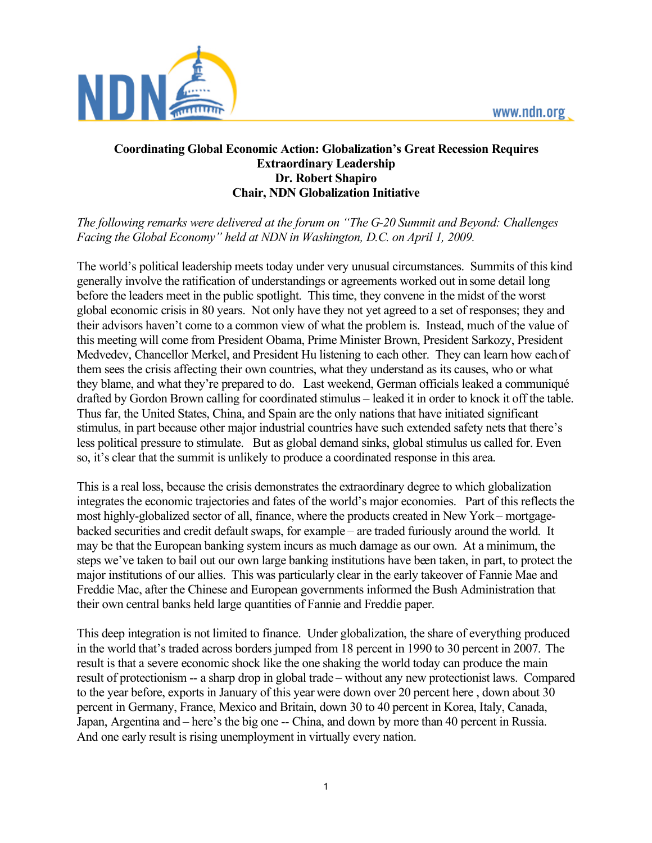

## **Coordinating Global Economic Action: Globalization's Great Recession Requires Extraordinary Leadership Dr. Robert Shapiro Chair, NDN Globalization Initiative**

## *The following remarks were delivered at the forum on "The G-20 Summit and Beyond: Challenges Facing the Global Economy" held at NDN in Washington, D.C. on April 1, 2009.*

The world's political leadership meets today under very unusual circumstances. Summits of this kind generally involve the ratification of understandings or agreements worked out in some detail long before the leaders meet in the public spotlight. This time, they convene in the midst of the worst global economic crisis in 80 years. Not only have they not yet agreed to a set of responses; they and their advisors haven't come to a common view of what the problem is. Instead, much of the value of this meeting will come from President Obama, Prime Minister Brown, President Sarkozy, President Medvedev, Chancellor Merkel, and President Hu listening to each other. They can learn how each of them sees the crisis affecting their own countries, what they understand as its causes, who or what they blame, and what they're prepared to do. Last weekend, German officials leaked a communiqué drafted by Gordon Brown calling for coordinated stimulus – leaked it in order to knock it off the table. Thus far, the United States, China, and Spain are the only nations that have initiated significant stimulus, in part because other major industrial countries have such extended safety nets that there's less political pressure to stimulate. But as global demand sinks, global stimulus us called for. Even so, it's clear that the summit is unlikely to produce a coordinated response in this area.

This is a real loss, because the crisis demonstrates the extraordinary degree to which globalization integrates the economic trajectories and fates of the world's major economies. Part of this reflects the most highly-globalized sector of all, finance, where the products created in New York – mortgagebacked securities and credit default swaps, for example – are traded furiously around the world. It may be that the European banking system incurs as much damage as our own. At a minimum, the steps we've taken to bail out our own large banking institutions have been taken, in part, to protect the major institutions of our allies. This was particularly clear in the early takeover of Fannie Mae and Freddie Mac, after the Chinese and European governments informed the Bush Administration that their own central banks held large quantities of Fannie and Freddie paper.

This deep integration is not limited to finance. Under globalization, the share of everything produced in the world that's traded across borders jumped from 18 percent in 1990 to 30 percent in 2007. The result is that a severe economic shock like the one shaking the world today can produce the main result of protectionism -- a sharp drop in global trade – without any new protectionist laws. Compared to the year before, exports in January of this year were down over 20 percent here , down about 30 percent in Germany, France, Mexico and Britain, down 30 to 40 percent in Korea, Italy, Canada, Japan, Argentina and – here's the big one -- China, and down by more than 40 percent in Russia. And one early result is rising unemployment in virtually every nation.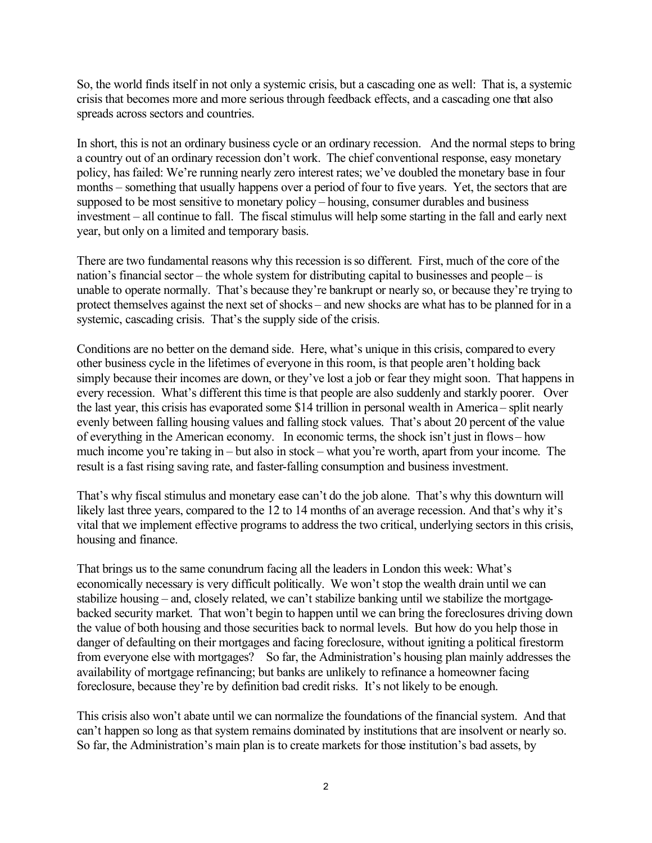So, the world finds itself in not only a systemic crisis, but a cascading one as well: That is, a systemic crisis that becomes more and more serious through feedback effects, and a cascading one that also spreads across sectors and countries.

In short, this is not an ordinary business cycle or an ordinary recession. And the normal steps to bring a country out of an ordinary recession don't work. The chief conventional response, easy monetary policy, has failed: We're running nearly zero interest rates; we've doubled the monetary base in four months – something that usually happens over a period of four to five years. Yet, the sectors that are supposed to be most sensitive to monetary policy – housing, consumer durables and business investment – all continue to fall. The fiscal stimulus will help some starting in the fall and early next year, but only on a limited and temporary basis.

There are two fundamental reasons why this recession is so different. First, much of the core of the nation's financial sector – the whole system for distributing capital to businesses and people – is unable to operate normally. That's because they're bankrupt or nearly so, or because they're trying to protect themselves against the next set of shocks – and new shocks are what has to be planned for in a systemic, cascading crisis. That's the supply side of the crisis.

Conditions are no better on the demand side. Here, what's unique in this crisis, compared to every other business cycle in the lifetimes of everyone in this room, is that people aren't holding back simply because their incomes are down, or they've lost a job or fear they might soon. That happens in every recession. What's different this time is that people are also suddenly and starkly poorer. Over the last year, this crisis has evaporated some \$14 trillion in personal wealth in America – split nearly evenly between falling housing values and falling stock values. That's about 20 percent of the value of everything in the American economy. In economic terms, the shock isn't just in flows – how much income you're taking in – but also in stock – what you're worth, apart from your income. The result is a fast rising saving rate, and faster-falling consumption and business investment.

That's why fiscal stimulus and monetary ease can't do the job alone. That's why this downturn will likely last three years, compared to the 12 to 14 months of an average recession. And that's why it's vital that we implement effective programs to address the two critical, underlying sectors in this crisis, housing and finance.

That brings us to the same conundrum facing all the leaders in London this week: What's economically necessary is very difficult politically. We won't stop the wealth drain until we can stabilize housing – and, closely related, we can't stabilize banking until we stabilize the mortgagebacked security market. That won't begin to happen until we can bring the foreclosures driving down the value of both housing and those securities back to normal levels. But how do you help those in danger of defaulting on their mortgages and facing foreclosure, without igniting a political firestorm from everyone else with mortgages? So far, the Administration's housing plan mainly addresses the availability of mortgage refinancing; but banks are unlikely to refinance a homeowner facing foreclosure, because they're by definition bad credit risks. It's not likely to be enough.

This crisis also won't abate until we can normalize the foundations of the financial system. And that can't happen so long as that system remains dominated by institutions that are insolvent or nearly so. So far, the Administration's main plan is to create markets for those institution's bad assets, by